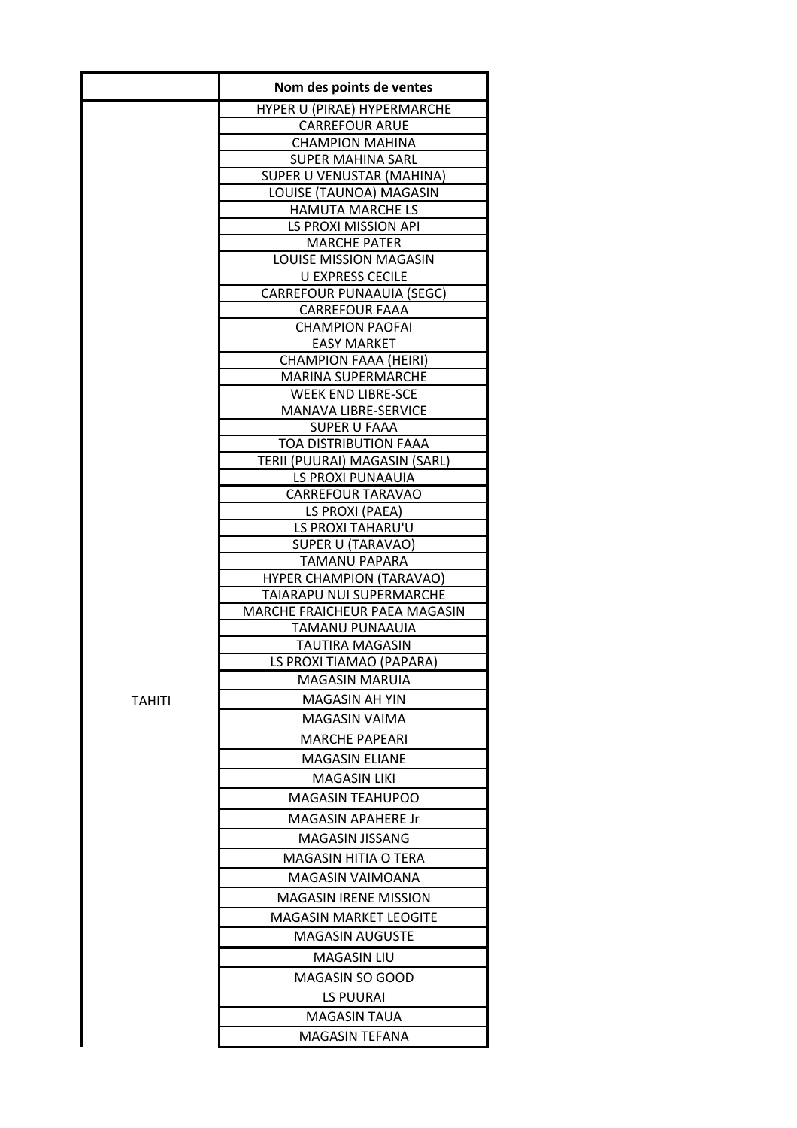|        | Nom des points de ventes                           |
|--------|----------------------------------------------------|
|        | HYPER U (PIRAE) HYPERMARCHE                        |
|        | <b>CARREFOUR ARUE</b>                              |
|        | <b>CHAMPION MAHINA</b>                             |
|        | <b>SUPER MAHINA SARL</b>                           |
|        | SUPER U VENUSTAR (MAHINA)                          |
|        | LOUISE (TAUNOA) MAGASIN<br><b>HAMUTA MARCHE LS</b> |
|        | LS PROXI MISSION API                               |
|        | <b>MARCHE PATER</b>                                |
|        | LOUISE MISSION MAGASIN                             |
|        | <b>U EXPRESS CECILE</b>                            |
|        | CARREFOUR PUNAAUIA (SEGC)                          |
|        | <b>CARREFOUR FAAA</b>                              |
|        | <b>CHAMPION PAOFAI</b>                             |
|        | <b>EASY MARKET</b>                                 |
|        | <b>CHAMPION FAAA (HEIRI)</b>                       |
|        | <b>MARINA SUPERMARCHE</b>                          |
|        | <b>WEEK END LIBRE-SCE</b>                          |
|        | MANAVA LIBRE-SERVICE<br>SUPER U FAAA               |
|        | TOA DISTRIBUTION FAAA                              |
|        | TERII (PUURAI) MAGASIN (SARL)                      |
|        | LS PROXI PUNAAUIA                                  |
|        | <b>CARREFOUR TARAVAO</b>                           |
|        | LS PROXI (PAEA)                                    |
|        | LS PROXI TAHARU'U                                  |
|        | SUPER U (TARAVAO)                                  |
|        | TAMANU PAPARA                                      |
|        | <b>HYPER CHAMPION (TARAVAO)</b>                    |
|        | TAIARAPU NUI SUPERMARCHE                           |
|        | MARCHE FRAICHEUR PAEA MAGASIN                      |
|        | TAMANU PUNAAUIA                                    |
|        | TAUTIRA MAGASIN                                    |
|        | LS PROXI TIAMAO (PAPARA)                           |
|        | <b>MAGASIN MARUIA</b>                              |
| TAHITI | MAGASIN AH YIN<br>MAGASIN VAIMA                    |
|        |                                                    |
|        | <b>MARCHE PAPEARI</b>                              |
|        | <b>MAGASIN ELIANE</b>                              |
|        | MAGASIN LIKI                                       |
|        | MAGASIN TEAHUPOO                                   |
|        | MAGASIN APAHERE Jr                                 |
|        | MAGASIN JISSANG                                    |
|        | MAGASIN HITIA O TERA                               |
|        | MAGASIN VAIMOANA                                   |
|        | <b>MAGASIN IRENE MISSION</b>                       |
|        | MAGASIN MARKET LEOGITE                             |
|        | MAGASIN AUGUSTE                                    |
|        |                                                    |
|        | <b>MAGASIN LIU</b>                                 |
|        | MAGASIN SO GOOD                                    |
|        | LS PUURAI                                          |
|        | <b>MAGASIN TAUA</b>                                |
|        | MAGASIN TEFANA                                     |
|        |                                                    |